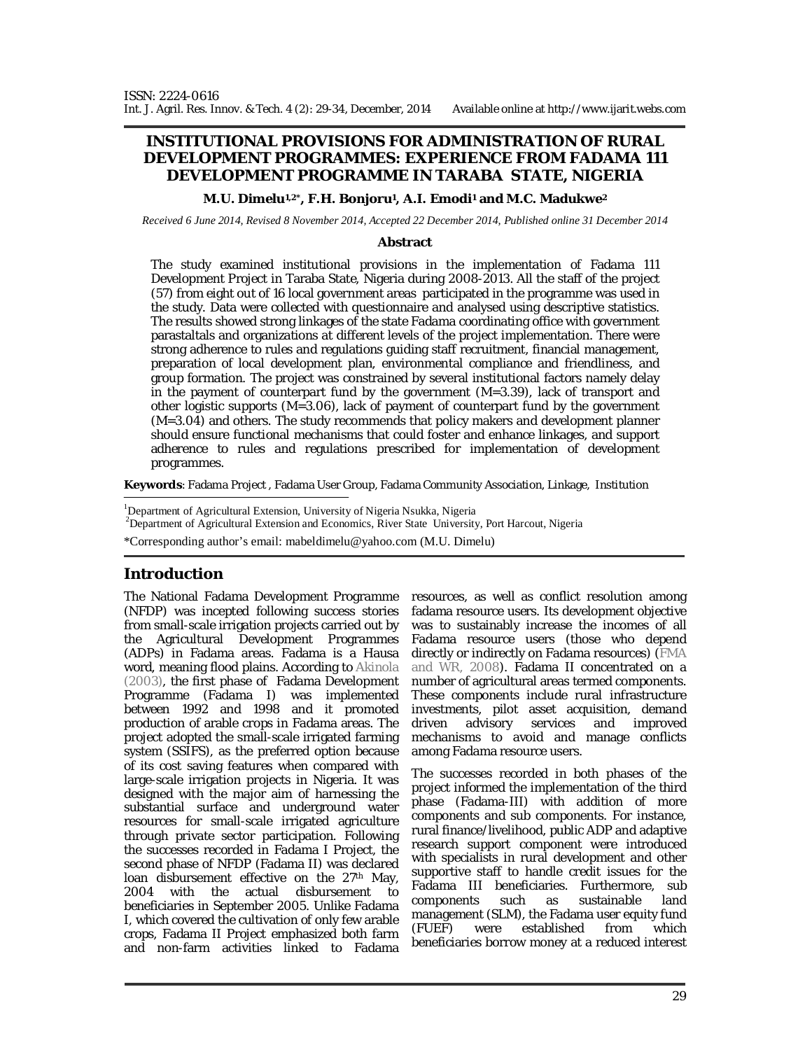### **INSTITUTIONAL PROVISIONS FOR ADMINISTRATION OF RURAL DEVELOPMENT PROGRAMMES: EXPERIENCE FROM FADAMA 111 DEVELOPMENT PROGRAMME IN TARABA STATE, NIGERIA**

**M.U. Dimelu1,2\*, F.H. Bonjoru1, A.I. Emodi<sup>1</sup> and M.C. Madukwe<sup>2</sup>**

*Received 6 June 2014, Revised 8 November 2014, Accepted 22 December 2014, Published online 31 December 2014* 

#### **Abstract**

The study examined institutional provisions in the implementation of Fadama 111 Development Project in Taraba State, Nigeria during 2008-2013. All the staff of the project (57) from eight out of 16 local government areas participated in the programme was used in the study. Data were collected with questionnaire and analysed using descriptive statistics. The results showed strong linkages of the state Fadama coordinating office with government parastaltals and organizations at different levels of the project implementation. There were strong adherence to rules and regulations guiding staff recruitment, financial management, preparation of local development plan, environmental compliance and friendliness, and group formation. The project was constrained by several institutional factors namely delay in the payment of counterpart fund by the government (M=3.39), lack of transport and other logistic supports (M=3.06), lack of payment of counterpart fund by the government (M=3.04) and others. The study recommends that policy makers and development planner should ensure functional mechanisms that could foster and enhance linkages, and support adherence to rules and regulations prescribed for implementation of development programmes.

**Keywords**: Fadama Project , Fadama User Group, Fadama Community Association, Linkage, Institution

<sup>1</sup>Department of Agricultural Extension, University of Nigeria Nsukka, Nigeria

<sup>2</sup>Department of Agricultural Extension and Economics, River State University, Port Harcout, Nigeria

\*Corresponding author's email: mabeldimelu@yahoo.com (M.U. Dimelu)

### **Introduction**

The National Fadama Development Programme resources, as well as conflict resolution among (NFDP) was incepted following success stories from small-scale irrigation projects carried out by the Agricultural Development Programmes (ADPs) in Fadama areas. Fadama is a Hausa word, meaning flood plains. According to Akinola (2003), the first phase of Fadama Development Programme (Fadama I) was implemented between 1992 and 1998 and it promoted production of arable crops in Fadama areas. The project adopted the small-scale irrigated farming system (SSIFS), as the preferred option because of its cost saving features when compared with large-scale irrigation projects in Nigeria. It was designed with the major aim of harnessing the substantial surface and underground water resources for small-scale irrigated agriculture through private sector participation. Following the successes recorded in Fadama I Project, the second phase of NFDP (Fadama II) was declared loan disbursement effective on the 27<sup>th</sup> May, 2004 with the actual disbursement to beneficiaries in September 2005. Unlike Fadama I, which covered the cultivation of only few arable crops, Fadama II Project emphasized both farm and non-farm activities linked to Fadama

fadama resource users. Its development objective was to sustainably increase the incomes of all Fadama resource users (those who depend directly or indirectly on Fadama resources) (FMA and WR, 2008). Fadama II concentrated on a number of agricultural areas termed components. These components include rural infrastructure investments, pilot asset acquisition, demand driven advisory services and improved mechanisms to avoid and manage conflicts among Fadama resource users.

The successes recorded in both phases of the project informed the implementation of the third phase (Fadama-III) with addition of more components and sub components. For instance, rural finance/livelihood, public ADP and adaptive research support component were introduced with specialists in rural development and other supportive staff to handle credit issues for the Fadama III beneficiaries. Furthermore, sub components such as sustainable land management (SLM), the Fadama user equity fund (FUEF) were established from which beneficiaries borrow money at a reduced interest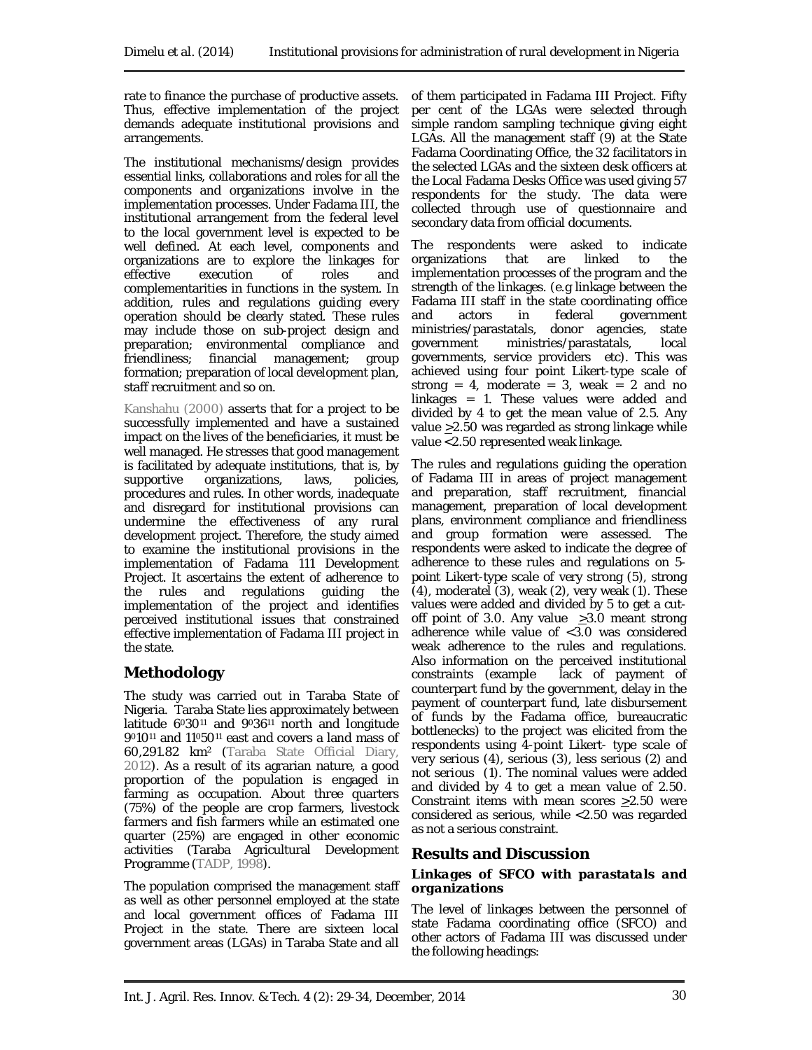rate to finance the purchase of productive assets. Thus, effective implementation of the project demands adequate institutional provisions and arrangements.

The institutional mechanisms/design provides essential links, collaborations and roles for all the components and organizations involve in the implementation processes. Under Fadama III, the institutional arrangement from the federal level to the local government level is expected to be well defined. At each level, components and organizations are to explore the linkages for<br>effective execution of roles and execution of roles and complementarities in functions in the system. In addition, rules and regulations guiding every operation should be clearly stated. These rules may include those on sub-project design and preparation; environmental compliance and friendliness; financial management; group formation; preparation of local development plan, staff recruitment and so on.

Kanshahu (2000) asserts that for a project to be successfully implemented and have a sustained impact on the lives of the beneficiaries, it must be well managed. He stresses that good management is facilitated by adequate institutions, that is, by supportive organizations, laws, policies, procedures and rules. In other words, inadequate and disregard for institutional provisions can undermine the effectiveness of any rural development project. Therefore, the study aimed to examine the institutional provisions in the implementation of Fadama 111 Development Project. It ascertains the extent of adherence to<br>the rules and regulations quiding the the rules and regulations guiding the implementation of the project and identifies perceived institutional issues that constrained effective implementation of Fadama III project in the state.

# **Methodology**

The study was carried out in Taraba State of Nigeria. Taraba State lies approximately between latitude 6030<sup>11</sup> and 9036<sup>11</sup> north and longitude 9010<sup>11</sup> and 11050<sup>11</sup> east and covers a land mass of 60,291.82 km<sup>2</sup> (Taraba State Official Diary, 2012). As a result of its agrarian nature, a good proportion of the population is engaged in farming as occupation. About three quarters (75%) of the people are crop farmers, livestock farmers and fish farmers while an estimated one quarter (25%) are engaged in other economic activities (Taraba Agricultural Development Programme (TADP, 1998).

The population comprised the management staff as well as other personnel employed at the state and local government offices of Fadama III Project in the state. There are sixteen local government areas (LGAs) in Taraba State and all

of them participated in Fadama III Project. Fifty per cent of the LGAs were selected through simple random sampling technique giving eight LGAs. All the management staff (9) at the State Fadama Coordinating Office, the 32 facilitators in the selected LGAs and the sixteen desk officers at the Local Fadama Desks Office was used giving 57 respondents for the study. The data were collected through use of questionnaire and secondary data from official documents.

The respondents were asked to indicate organizations that are linked to the implementation processes of the program and the strength of the linkages. (e.g linkage between the Fadama III staff in the state coordinating office<br>and actors in federal government and actors in federal government ministries/parastatals, donor agencies, state<br>government ministries/parastatals, local ministries/parastatals, governments, service providers etc). This was achieved using four point Likert-type scale of strong = 4, moderate = 3, weak = 2 and no linkages = 1. These values were added and divided by 4 to get the mean value of 2.5. Any value >2.50 was regarded as strong linkage while value <2.50 represented weak linkage.

The rules and regulations guiding the operation of Fadama III in areas of project management and preparation, staff recruitment, financial management, preparation of local development plans, environment compliance and friendliness and group formation were assessed. The respondents were asked to indicate the degree of adherence to these rules and regulations on 5 point Likert-type scale of very strong (5), strong (4), moderatel (3), weak (2), very weak (1). These values were added and divided by 5 to get a cutoff point of 3.0. Any value  $\geq 3.0$  meant strong adherence while value of <3.0 was considered weak adherence to the rules and regulations. Also information on the perceived institutional constraints (example lack of payment of counterpart fund by the government, delay in the payment of counterpart fund, late disbursement of funds by the Fadama office, bureaucratic bottlenecks) to the project was elicited from the respondents using 4-point Likert- type scale of very serious (4), serious (3), less serious (2) and not serious (1). The nominal values were added and divided by 4 to get a mean value of 2.50. Constraint items with mean scores >2.50 were considered as serious, while <2.50 was regarded as not a serious constraint.

# **Results and Discussion**

#### *Linkages of SFCO with parastatals and organizations*

The level of linkages between the personnel of state Fadama coordinating office (SFCO) and other actors of Fadama III was discussed under the following headings: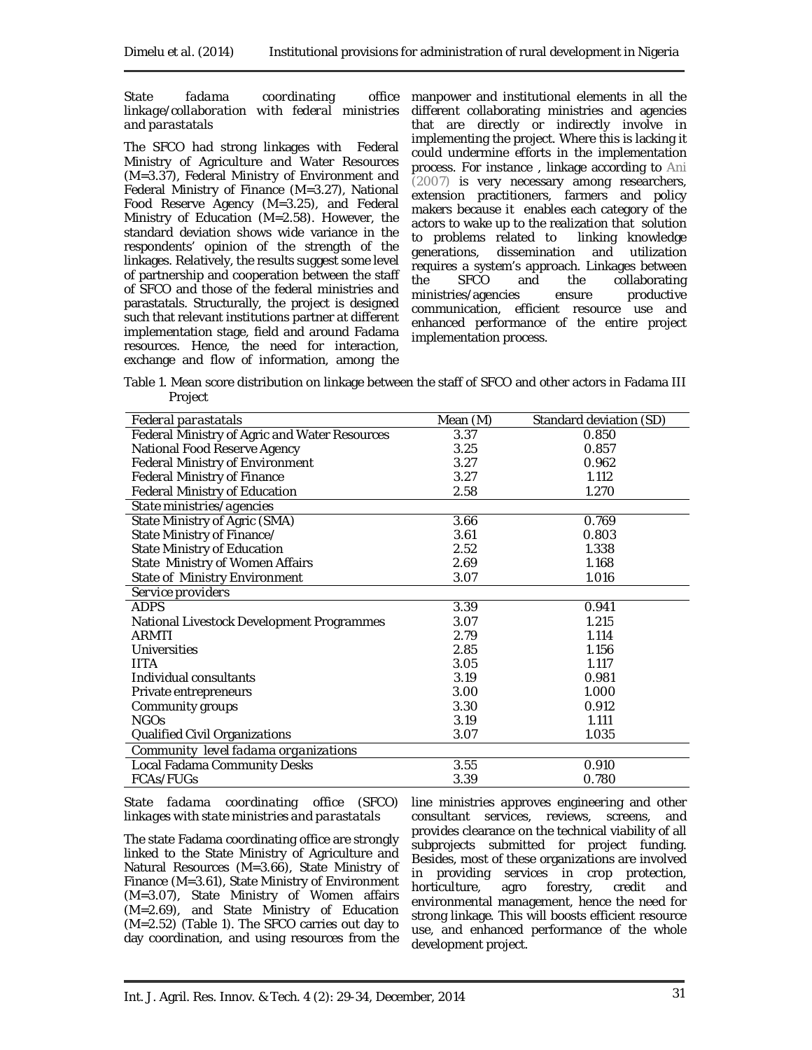*State fadama coordinating linkage/collaboration with federal ministries and parastatals*

The SFCO had strong linkages with Federal Ministry of Agriculture and Water Resources (M=3.37), Federal Ministry of Environment and Federal Ministry of Finance (M=3.27), National Food Reserve Agency (M=3.25), and Federal Ministry of Education (M=2.58). However, the standard deviation shows wide variance in the respondents' opinion of the strength of the linkages. Relatively, the results suggest some level of partnership and cooperation between the staff of SFCO and those of the federal ministries and parastatals. Structurally, the project is designed such that relevant institutions partner at different implementation stage, field and around Fadama resources. Hence, the need for interaction, exchange and flow of information, among the

office manpower and institutional elements in all the different collaborating ministries and agencies that are directly or indirectly involve in implementing the project. Where this is lacking it could undermine efforts in the implementation process. For instance , linkage according to Ani (2007) is very necessary among researchers, extension practitioners, farmers and policy makers because it enables each category of the actors to wake up to the realization that solution to problems related to linking knowledge generations, dissemination and utilization requires a system's approach. Linkages between<br>the SFCO and the collaborating the SFCO and the collaborating<br>ministries/agencies ensure productive ministries/agencies communication, efficient resource use and enhanced performance of the entire project implementation process.

Table 1. Mean score distribution on linkage between the staff of SFCO and other actors in Fadama III Project

| Federal parastatals                           | Mean (M) | Standard deviation (SD) |
|-----------------------------------------------|----------|-------------------------|
| Federal Ministry of Agric and Water Resources | 3.37     | 0.850                   |
| National Food Reserve Agency                  | 3.25     | 0.857                   |
| Federal Ministry of Environment               | 3.27     | 0.962                   |
| Federal Ministry of Finance                   | 3.27     | 1.112                   |
| Federal Ministry of Education                 | 2.58     | 1.270                   |
| State ministries/agencies                     |          |                         |
| State Ministry of Agric (SMA)                 | 3.66     | 0.769                   |
| State Ministry of Finance/                    | 3.61     | 0.803                   |
| State Ministry of Education                   | 2.52     | 1.338                   |
| State Ministry of Women Affairs               | 2.69     | 1.168                   |
| State of Ministry Environment                 | 3.07     | 1.016                   |
| Service providers                             |          |                         |
| <b>ADPS</b>                                   | 3.39     | 0.941                   |
| National Livestock Development Programmes     | 3.07     | 1.215                   |
| ARMTI                                         | 2.79     | 1.114                   |
| Universities                                  | 2.85     | 1.156                   |
| <b>IITA</b>                                   | 3.05     | 1.117                   |
| Individual consultants                        | 3.19     | 0.981                   |
| Private entrepreneurs                         | 3.00     | 1.000                   |
| Community groups                              | 3.30     | 0.912                   |
| <b>NGOs</b>                                   | 3.19     | 1.111                   |
| Qualified Civil Organizations                 | 3.07     | 1.035                   |
| Community level fadama organizations          |          |                         |
| Local Fadama Community Desks                  | 3.55     | 0.910                   |
| <b>FCAs/FUGs</b>                              | 3.39     | 0.780                   |

*State fadama coordinating office (SFCO) linkages with state ministries and parastatals*

The state Fadama coordinating office are strongly linked to the State Ministry of Agriculture and Natural Resources (M=3.66), State Ministry of Finance (M=3.61), State Ministry of Environment (M=3.07), State Ministry of Women affairs (M=2.69), and State Ministry of Education (M=2.52) (Table 1). The SFCO carries out day to day coordination, and using resources from the

line ministries approves engineering and other consultant services, reviews, screens, and provides clearance on the technical viability of all subprojects submitted for project funding. Besides, most of these organizations are involved in providing services in crop protection, horticulture, agro forestry, credit and environmental management, hence the need for strong linkage. This will boosts efficient resource use, and enhanced performance of the whole development project.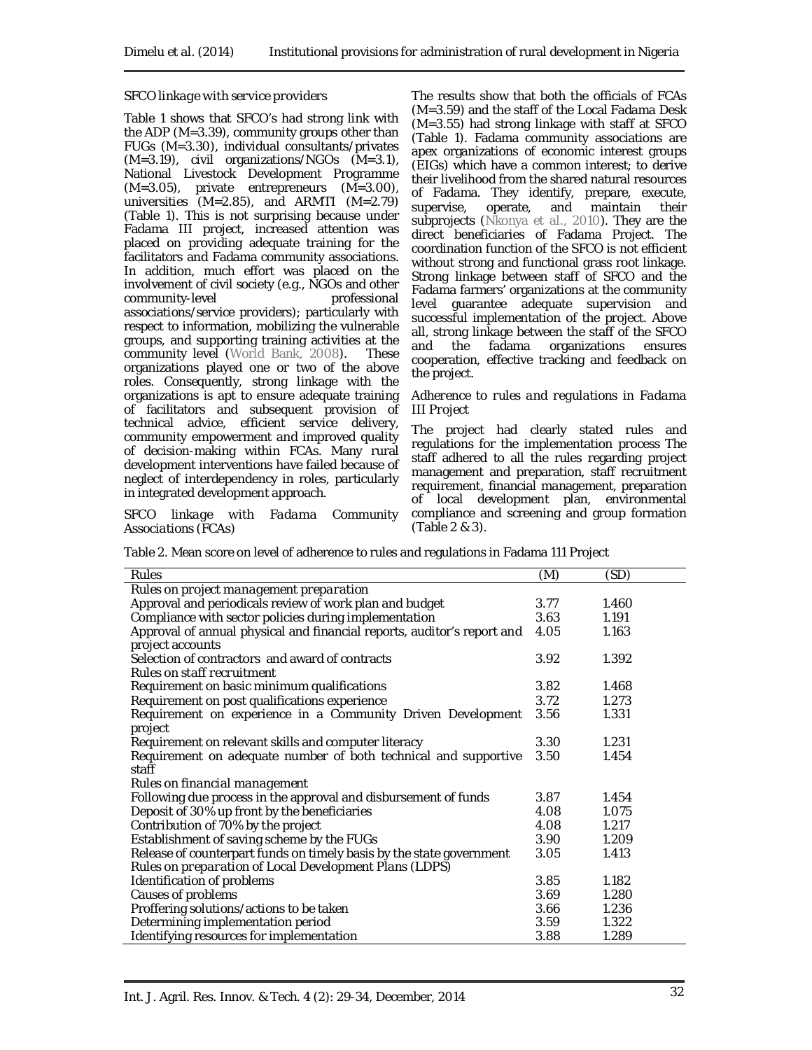### *SFCO linkage with service providers*

Table 1 shows that SFCO's had strong link with the ADP (M=3.39), community groups other than FUGs (M=3.30), individual consultants/privates (M=3.19), civil organizations/NGOs (M=3.1), National Livestock Development Programme (M=3.05), private entrepreneurs (M=3.00), universities (M=2.85), and ARMTI (M=2.79) (Table 1). This is not surprising because under Fadama III project, increased attention was placed on providing adequate training for the facilitators and Fadama community associations. In addition, much effort was placed on the involvement of civil society (e.g., NGOs and other community-level associations/service providers); particularly with respect to information, mobilizing the vulnerable groups, and supporting training activities at the community level (World Bank, 2008). These organizations played one or two of the above roles. Consequently, strong linkage with the organizations is apt to ensure adequate training of facilitators and subsequent provision of technical advice, efficient service delivery, community empowerment and improved quality of decision-making within FCAs. Many rural development interventions have failed because of neglect of interdependency in roles, particularly in integrated development approach.

*SFCO linkage with Fadama Community Associations (FCAs)*

The results show that both the officials of FCAs (M=3.59) and the staff of the Local Fadama Desk (M=3.55) had strong linkage with staff at SFCO (Table 1). Fadama community associations are apex organizations of economic interest groups (EIGs) which have a common interest; to derive their livelihood from the shared natural resources of Fadama. They identify, prepare, execute, supervise, operate, and maintain their subprojects (Nkonya *et al*., 2010). They are the direct beneficiaries of Fadama Project. The coordination function of the SFCO is not efficient without strong and functional grass root linkage. Strong linkage between staff of SFCO and the Fadama farmers' organizations at the community level guarantee adequate supervision and successful implementation of the project. Above all, strong linkage between the staff of the SFCO and the fadama organizations ensures cooperation, effective tracking and feedback on the project.

#### *Adherence to rules and regulations in Fadama III Project*

The project had clearly stated rules and regulations for the implementation process The staff adhered to all the rules regarding project management and preparation, staff recruitment requirement, financial management, preparation of local development plan, environmental compliance and screening and group formation (Table 2 & 3).

|  | Table 2. Mean score on level of adherence to rules and regulations in Fadama 111 Project |  |
|--|------------------------------------------------------------------------------------------|--|
|  |                                                                                          |  |
|  |                                                                                          |  |

| Rules                                                                   | (M)  | (SD)  |  |
|-------------------------------------------------------------------------|------|-------|--|
| Rules on project management preparation                                 |      |       |  |
| Approval and periodicals review of work plan and budget                 | 3.77 | 1.460 |  |
| Compliance with sector policies during implementation                   | 3.63 | 1.191 |  |
| Approval of annual physical and financial reports, auditor's report and | 4.05 | 1.163 |  |
| project accounts                                                        |      |       |  |
| Selection of contractors and award of contracts                         | 3.92 | 1.392 |  |
| Rules on staff recruitment                                              |      |       |  |
| Requirement on basic minimum qualifications                             | 3.82 | 1.468 |  |
| Requirement on post qualifications experience                           | 3.72 | 1.273 |  |
| Requirement on experience in a Community Driven Development             | 3.56 | 1.331 |  |
| project                                                                 |      |       |  |
| Requirement on relevant skills and computer literacy                    | 3.30 | 1.231 |  |
| Requirement on adequate number of both technical and supportive         | 3.50 | 1.454 |  |
| staff                                                                   |      |       |  |
| Rules on financial management                                           |      |       |  |
| Following due process in the approval and disbursement of funds         | 3.87 | 1.454 |  |
| Deposit of 30% up front by the beneficiaries                            | 4.08 | 1.075 |  |
| Contribution of 70% by the project                                      | 4.08 | 1.217 |  |
| Establishment of saving scheme by the FUGs                              | 3.90 | 1.209 |  |
| Release of counterpart funds on timely basis by the state government    | 3.05 | 1.413 |  |
| Rules on preparation of Local Development Plans (LDPS)                  |      |       |  |
| Identification of problems                                              | 3.85 | 1.182 |  |
| Causes of problems                                                      | 3.69 | 1.280 |  |
| Proffering solutions/actions to be taken                                | 3.66 | 1.236 |  |
| Determining implementation period                                       | 3.59 | 1.322 |  |
| Identifying resources for implementation                                | 3.88 | 1.289 |  |
|                                                                         |      |       |  |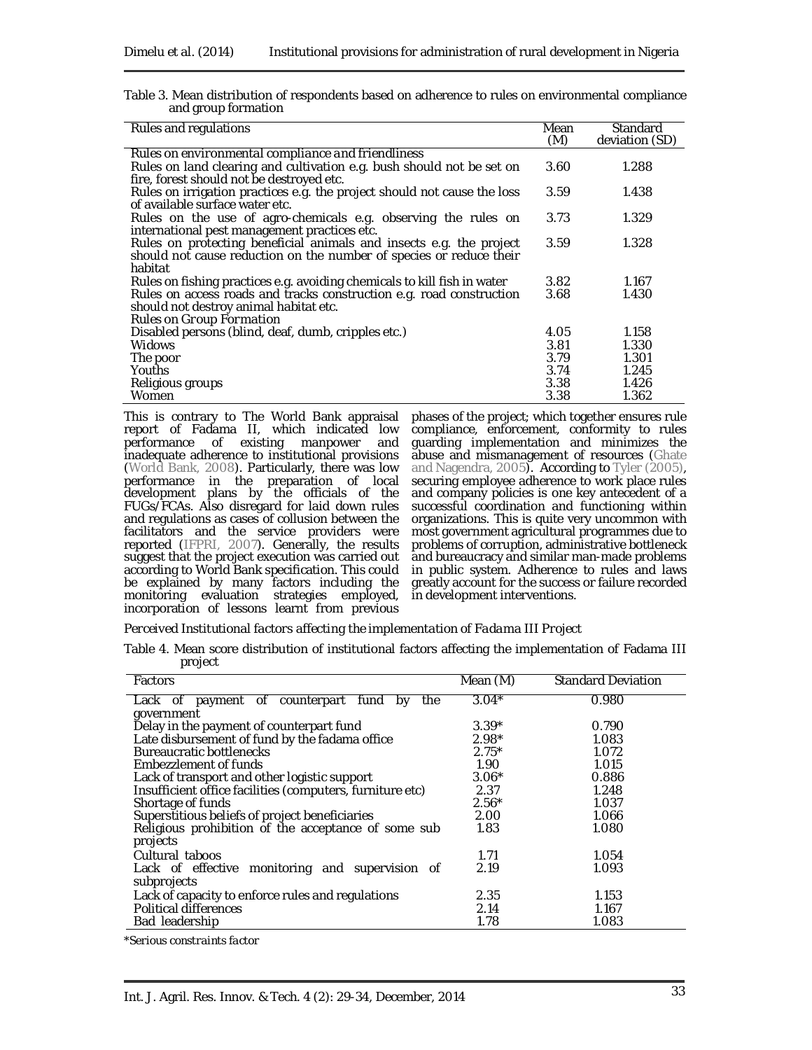| Table 3. Mean distribution of respondents based on adherence to rules on environmental compliance |  |  |  |
|---------------------------------------------------------------------------------------------------|--|--|--|
| and group formation                                                                               |  |  |  |

| Rules and regulations                                                                                                                                 | Mean<br>(M) | Standard<br>deviation (SD) |
|-------------------------------------------------------------------------------------------------------------------------------------------------------|-------------|----------------------------|
| Rules on environmental compliance and friendliness                                                                                                    |             |                            |
| Rules on land clearing and cultivation e.g. bush should not be set on<br>fire, forest should not be destroyed etc.                                    | 3.60        | 1.288                      |
| Rules on irrigation practices e.g. the project should not cause the loss<br>of available surface water etc.                                           | 3.59        | 1.438                      |
| Rules on the use of agro-chemicals e.g. observing the rules on<br>international pest management practices etc.                                        | 3.73        | 1.329                      |
| Rules on protecting beneficial animals and insects e.g. the project<br>should not cause reduction on the number of species or reduce their<br>habitat | 3.59        | 1.328                      |
| Rules on fishing practices e.g. avoiding chemicals to kill fish in water                                                                              | 3.82        | 1.167                      |
| Rules on access roads and tracks construction e.g. road construction<br>should not destroy animal habitat etc.<br>Rules on Group Formation            | 3.68        | 1.430                      |
| Disabled persons (blind, deaf, dumb, cripples etc.)                                                                                                   | 4.05        | 1.158                      |
| <b>Widows</b>                                                                                                                                         | 3.81        | 1.330                      |
| The poor                                                                                                                                              | 3.79        | 1.301                      |
| <b>Youths</b>                                                                                                                                         | 3.74        | 1.245                      |
| Religious groups                                                                                                                                      | 3.38        | 1.426                      |
| Women                                                                                                                                                 | 3.38        | 1.362                      |

This is contrary to The World Bank appraisal report of Fadama II, which indicated low performance of existing manpower and inadequate adherence to institutional provisions (World Bank, 2008). Particularly, there was low performance in the preparation of local development plans by the officials of the FUGs/FCAs. Also disregard for laid down rules and regulations as cases of collusion between the facilitators and the service providers were reported (IFPRI, 2007). Generally, the results suggest that the project execution was carried out according to World Bank specification. This could be explained by many factors including the monitoring evaluation strategies employed, incorporation of lessons learnt from previous

phases of the project; which together ensures rule compliance, enforcement, conformity to rules guarding implementation and minimizes the abuse and mismanagement of resources (Ghate and Nagendra, 2005). According to Tyler (2005), securing employee adherence to work place rules and company policies is one key antecedent of a successful coordination and functioning within organizations. This is quite very uncommon with most government agricultural programmes due to problems of corruption, administrative bottleneck and bureaucracy and similar man-made problems in public system. Adherence to rules and laws greatly account for the success or failure recorded in development interventions.

*Perceived Institutional factors affecting the implementation of Fadama III Project* 

Table 4. Mean score distribution of institutional factors affecting the implementation of Fadama III project

| Factors                                                              | Mean (M) | <b>Standard Deviation</b> |
|----------------------------------------------------------------------|----------|---------------------------|
| Lack of<br>payment of counterpart<br>fund<br>the<br>by<br>government | $3.04*$  | 0.980                     |
| Delay in the payment of counterpart fund                             | $3.39*$  | 0.790                     |
| Late disbursement of fund by the fadama office                       | $2.98*$  | 1.083                     |
| <b>Bureaucratic bottlenecks</b>                                      | $2.75*$  | 1.072                     |
| Embezzlement of funds                                                | 1.90     | 1.015                     |
| Lack of transport and other logistic support                         | $3.06*$  | 0.886                     |
| Insufficient office facilities (computers, furniture etc)            | 2.37     | 1.248                     |
| Shortage of funds                                                    | $2.56*$  | 1.037                     |
| Superstitious beliefs of project beneficiaries                       | 2.00     | 1.066                     |
| Religious prohibition of the acceptance of some sub                  | 1.83     | 1.080                     |
| projects                                                             |          |                           |
| Cultural taboos                                                      | 1.71     | 1.054                     |
| Lack of effective<br>monitoring and supervision of<br>subprojects    | 2.19     | 1.093                     |
| Lack of capacity to enforce rules and regulations                    | 2.35     | 1.153                     |
| Political differences                                                | 2.14     | 1.167                     |
| Bad leadership                                                       | 1.78     | 1.083                     |

*\*Serious constraints factor*